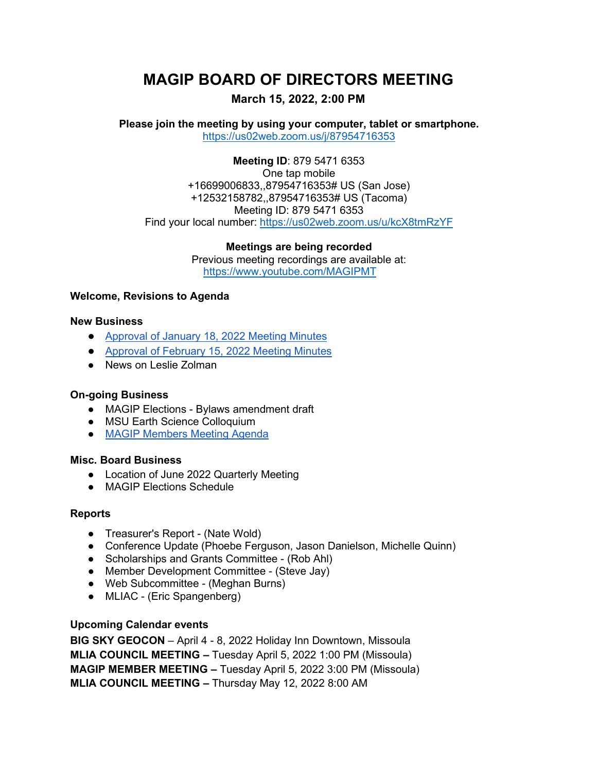# **MAGIP BOARD OF DIRECTORS MEETING**

## **March 15, 2022, 2:00 PM**

**Please join the meeting by using your computer, tablet or smartphone.** <https://us02web.zoom.us/j/87954716353>

**Meeting ID**: 879 5471 6353 One tap mobile +16699006833,,87954716353# US (San Jose) +12532158782,,87954716353# US (Tacoma) Meeting ID: 879 5471 6353 Find your local number:<https://us02web.zoom.us/u/kcX8tmRzYF>

**Meetings are being recorded**

Previous meeting recordings are available at: <https://www.youtube.com/MAGIPMT>

### **Welcome, Revisions to Agenda**

#### **New Business**

- [Approval of January 18, 2022 Meeting Minutes](https://www.magip.org/resources/Documents/BODMeetingMinutes/2022/20220118_MAGIP_BOD_MINUTES.pdf)
- [Approval of February 15, 2022 Meeting Minutes](https://www.magip.org/resources/Documents/BODMeetingMinutes/2022/20220215_MAGIP_BOD_MINUTES.pdf)
- News on Leslie Zolman

#### **On-going Business**

- MAGIP Elections Bylaws amendment draft
- MSU Earth Science Colloquium
- [MAGIP Members Meeting Agenda](https://www.magip.org/resources/Documents/BODDocuments/2022_04_05_MAGIP_MEMBERS_MEETING_AGENDA_DRAFT.pdf)

#### **Misc. Board Business**

- Location of June 2022 Quarterly Meeting
- MAGIP Elections Schedule

#### **Reports**

- Treasurer's Report (Nate Wold)
- Conference Update (Phoebe Ferguson, Jason Danielson, Michelle Quinn)
- Scholarships and Grants Committee (Rob Ahl)
- Member Development Committee (Steve Jay)
- Web Subcommittee (Meghan Burns)
- MLIAC (Eric Spangenberg)

#### **Upcoming Calendar events**

**BIG SKY GEOCON** – April 4 - 8, 2022 Holiday Inn Downtown, Missoula **MLIA COUNCIL MEETING –** Tuesday April 5, 2022 1:00 PM (Missoula) **MAGIP MEMBER MEETING –** Tuesday April 5, 2022 3:00 PM (Missoula) **MLIA COUNCIL MEETING –** Thursday May 12, 2022 8:00 AM